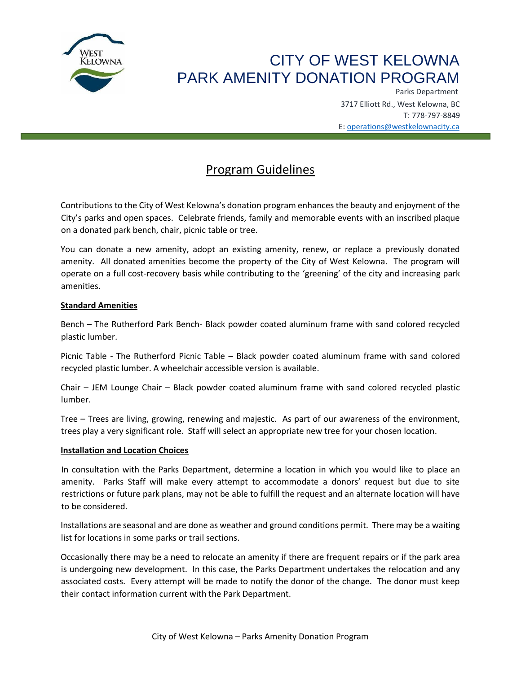

# CITY OF WEST KELOWNA PARK AMENITY DONATION PROGRAM

Parks Department 3717 Elliott Rd., West Kelowna, BC T: 778-797-8849 E: operations@westkelownacity.ca

# Program Guidelines

Contributions to the City of West Kelowna's donation program enhances the beauty and enjoyment of the City's parks and open spaces. Celebrate friends, family and memorable events with an inscribed plaque on a donated park bench, chair, picnic table or tree.

You can donate a new amenity, adopt an existing amenity, renew, or replace a previously donated amenity. All donated amenities become the property of the City of West Kelowna. The program will operate on a full cost-recovery basis while contributing to the 'greening' of the city and increasing park amenities.

# **Standard Amenities**

Bench – The Rutherford Park Bench- Black powder coated aluminum frame with sand colored recycled plastic lumber.

Picnic Table - The Rutherford Picnic Table – Black powder coated aluminum frame with sand colored recycled plastic lumber. A wheelchair accessible version is available.

Chair – JEM Lounge Chair – Black powder coated aluminum frame with sand colored recycled plastic lumber.

Tree – Trees are living, growing, renewing and majestic. As part of our awareness of the environment, trees play a very significant role. Staff will select an appropriate new tree for your chosen location.

#### **Installation and Location Choices**

In consultation with the Parks Department, determine a location in which you would like to place an amenity. Parks Staff will make every attempt to accommodate a donors' request but due to site restrictions or future park plans, may not be able to fulfill the request and an alternate location will have to be considered.

Installations are seasonal and are done as weather and ground conditions permit. There may be a waiting list for locations in some parks or trail sections.

Occasionally there may be a need to relocate an amenity if there are frequent repairs or if the park area is undergoing new development. In this case, the Parks Department undertakes the relocation and any associated costs. Every attempt will be made to notify the donor of the change. The donor must keep their contact information current with the Park Department.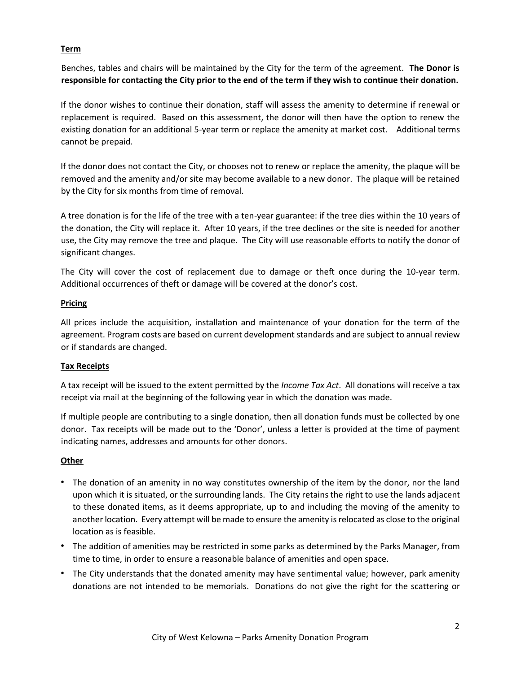# **Term**

Benches, tables and chairs will be maintained by the City for the term of the agreement. **The Donor is responsible for contacting the City prior to the end of the term if they wish to continue their donation.** 

If the donor wishes to continue their donation, staff will assess the amenity to determine if renewal or replacement is required. Based on this assessment, the donor will then have the option to renew the existing donation for an additional 5-year term or replace the amenity at market cost. Additional terms cannot be prepaid.

If the donor does not contact the City, or chooses not to renew or replace the amenity, the plaque will be removed and the amenity and/or site may become available to a new donor. The plaque will be retained by the City for six months from time of removal.

A tree donation is for the life of the tree with a ten-year guarantee: if the tree dies within the 10 years of the donation, the City will replace it. After 10 years, if the tree declines or the site is needed for another use, the City may remove the tree and plaque. The City will use reasonable efforts to notify the donor of significant changes.

The City will cover the cost of replacement due to damage or theft once during the 10-year term. Additional occurrences of theft or damage will be covered at the donor's cost.

#### **Pricing**

All prices include the acquisition, installation and maintenance of your donation for the term of the agreement. Program costs are based on current development standards and are subject to annual review or if standards are changed.

#### **Tax Receipts**

A tax receipt will be issued to the extent permitted by the *Income Tax Act*. All donations will receive a tax receipt via mail at the beginning of the following year in which the donation was made.

If multiple people are contributing to a single donation, then all donation funds must be collected by one donor. Tax receipts will be made out to the 'Donor', unless a letter is provided at the time of payment indicating names, addresses and amounts for other donors.

#### **Other**

- The donation of an amenity in no way constitutes ownership of the item by the donor, nor the land upon which it is situated, or the surrounding lands. The City retains the right to use the lands adjacent to these donated items, as it deems appropriate, up to and including the moving of the amenity to another location. Every attempt will be made to ensure the amenity is relocated as close to the original location as is feasible.
- The addition of amenities may be restricted in some parks as determined by the Parks Manager, from time to time, in order to ensure a reasonable balance of amenities and open space.
- The City understands that the donated amenity may have sentimental value; however, park amenity donations are not intended to be memorials. Donations do not give the right for the scattering or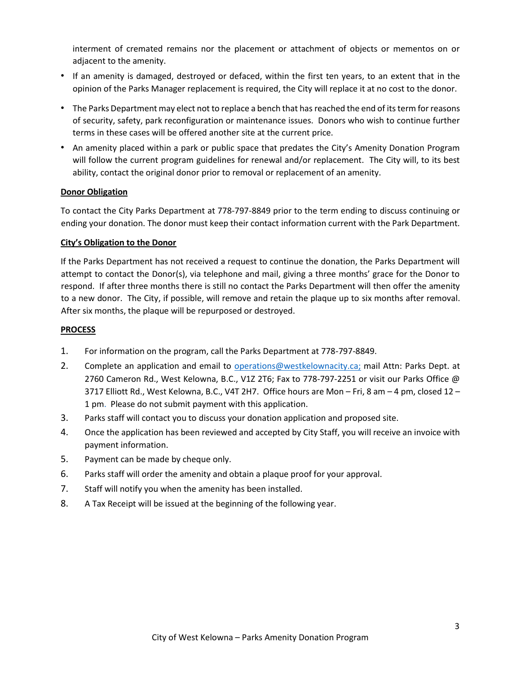interment of cremated remains nor the placement or attachment of objects or mementos on or adjacent to the amenity.

- If an amenity is damaged, destroyed or defaced, within the first ten years, to an extent that in the opinion of the Parks Manager replacement is required, the City will replace it at no cost to the donor.
- The Parks Department may elect not to replace a bench that has reached the end of its term for reasons of security, safety, park reconfiguration or maintenance issues. Donors who wish to continue further terms in these cases will be offered another site at the current price.
- An amenity placed within a park or public space that predates the City's Amenity Donation Program will follow the current program guidelines for renewal and/or replacement. The City will, to its best ability, contact the original donor prior to removal or replacement of an amenity.

#### **Donor Obligation**

To contact the City Parks Department at 778-797-8849 prior to the term ending to discuss continuing or ending your donation. The donor must keep their contact information current with the Park Department.

# **City's Obligation to the Donor**

If the Parks Department has not received a request to continue the donation, the Parks Department will attempt to contact the Donor(s), via telephone and mail, giving a three months' grace for the Donor to respond. If after three months there is still no contact the Parks Department will then offer the amenity to a new donor. The City, if possible, will remove and retain the plaque up to six months after removal. After six months, the plaque will be repurposed or destroyed.

# **PROCESS**

- 1. For information on the program, call the Parks Department at 778-797-8849.
- 2. Complete an application and email to operations@westkelownacity.ca; mail Attn: Parks Dept. at 2760 Cameron Rd., West Kelowna, B.C., V1Z 2T6; Fax to 778-797-2251 or visit our Parks Office @ 3717 Elliott Rd., West Kelowna, B.C., V4T 2H7. Office hours are Mon – Fri, 8 am – 4 pm, closed 12 – 1 pm. Please do not submit payment with this application.
- 3. Parks staff will contact you to discuss your donation application and proposed site.
- 4. Once the application has been reviewed and accepted by City Staff, you will receive an invoice with payment information.
- 5. Payment can be made by cheque only.
- 6. Parks staff will order the amenity and obtain a plaque proof for your approval.
- 7. Staff will notify you when the amenity has been installed.
- 8. A Tax Receipt will be issued at the beginning of the following year.